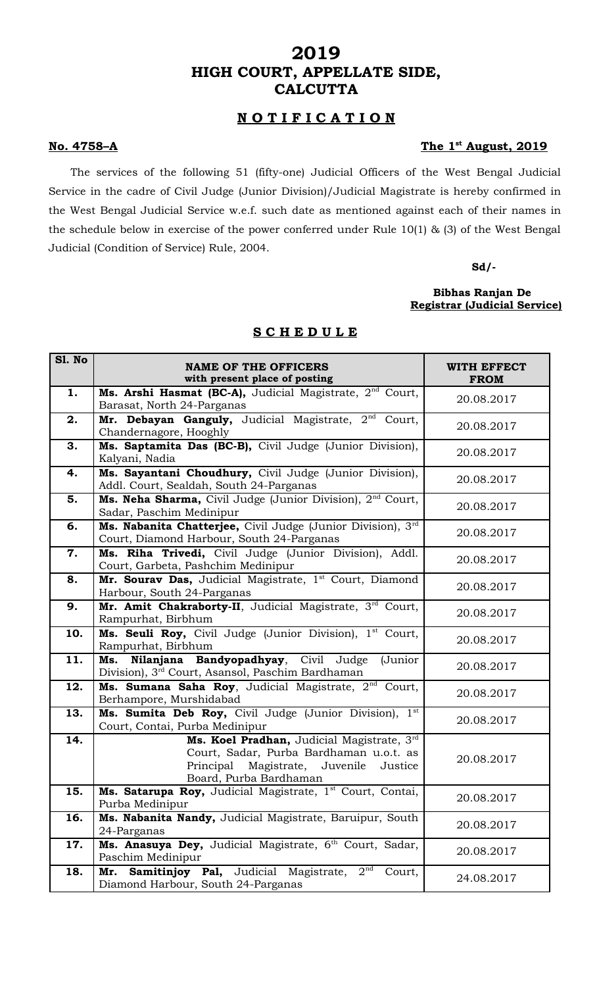# **2019 HIGH COURT, APPELLATE SIDE, CALCUTTA**

# **N O T I F I C A T I O N**

#### **No. 4758–A The 1st**

# The 1<sup>st</sup> August, 2019

The services of the following 51 (fifty-one) Judicial Officers of the West Bengal Judicial Service in the cadre of Civil Judge (Junior Division)/Judicial Magistrate is hereby confirmed in the West Bengal Judicial Service w.e.f. such date as mentioned against each of their names in the schedule below in exercise of the power conferred under Rule 10(1) & (3) of the West Bengal Judicial (Condition of Service) Rule, 2004.

**Sd/-**

## **Bibhas Ranjan De Registrar (Judicial Service)**

| Sl. No | <b>NAME OF THE OFFICERS</b><br>with present place of posting                                                                                                 | WITH EFFECT<br><b>FROM</b> |
|--------|--------------------------------------------------------------------------------------------------------------------------------------------------------------|----------------------------|
| 1.     | Ms. Arshi Hasmat (BC-A), Judicial Magistrate, 2 <sup>nd</sup> Court,<br>Barasat, North 24-Parganas                                                           | 20.08.2017                 |
| 2.     | Mr. Debayan Ganguly, Judicial Magistrate, 2nd<br>Court,<br>Chandernagore, Hooghly                                                                            | 20.08.2017                 |
| 3.     | Ms. Saptamita Das (BC-B), Civil Judge (Junior Division),<br>Kalyani, Nadia                                                                                   | 20.08.2017                 |
| 4.     | Ms. Sayantani Choudhury, Civil Judge (Junior Division),<br>Addl. Court, Sealdah, South 24-Parganas                                                           | 20.08.2017                 |
| 5.     | Ms. Neha Sharma, Civil Judge (Junior Division), 2 <sup>nd</sup> Court,<br>Sadar, Paschim Medinipur                                                           | 20.08.2017                 |
| 6.     | Ms. Nabanita Chatterjee, Civil Judge (Junior Division), 3rd<br>Court, Diamond Harbour, South 24-Parganas                                                     | 20.08.2017                 |
| 7.     | Ms. Riha Trivedi, Civil Judge (Junior Division), Addl.<br>Court, Garbeta, Pashchim Medinipur                                                                 | 20.08.2017                 |
| 8.     | Mr. Sourav Das, Judicial Magistrate, 1 <sup>st</sup> Court, Diamond<br>Harbour, South 24-Parganas                                                            | 20.08.2017                 |
| 9.     | Mr. Amit Chakraborty-II, Judicial Magistrate, 3rd Court,<br>Rampurhat, Birbhum                                                                               | 20.08.2017                 |
| 10.    | Ms. Seuli Roy, Civil Judge (Junior Division), 1 <sup>st</sup> Court,<br>Rampurhat, Birbhum                                                                   | 20.08.2017                 |
| 11.    | Ms. Nilanjana Bandyopadhyay, Civil Judge<br>(Junior<br>Division), 3 <sup>rd</sup> Court, Asansol, Paschim Bardhaman                                          | 20.08.2017                 |
| 12.    | Ms. Sumana Saha Roy, Judicial Magistrate, 2 <sup>nd</sup> Court,<br>Berhampore, Murshidabad                                                                  | 20.08.2017                 |
| 13.    | Ms. Sumita Deb Roy, Civil Judge (Junior Division), 1st<br>Court, Contai, Purba Medinipur                                                                     | 20.08.2017                 |
| 14.    | Ms. Koel Pradhan, Judicial Magistrate, 3rd<br>Court, Sadar, Purba Bardhaman u.o.t. as<br>Principal Magistrate, Juvenile<br>Justice<br>Board, Purba Bardhaman | 20.08.2017                 |
| 15.    | Ms. Satarupa Roy, Judicial Magistrate, 1st Court, Contai,<br>Purba Medinipur                                                                                 | 20.08.2017                 |
| 16.    | Ms. Nabanita Nandy, Judicial Magistrate, Baruipur, South<br>24-Parganas                                                                                      | 20.08.2017                 |
| 17.    | Ms. Anasuya Dey, Judicial Magistrate, 6th Court, Sadar,<br>Paschim Medinipur                                                                                 | 20.08.2017                 |
| 18.    | 2 <sup>nd</sup><br>Samitinjoy Pal, Judicial Magistrate,<br>Court,<br>Mr.<br>Diamond Harbour, South 24-Parganas                                               | 24.08.2017                 |

## **S C H E D U L E**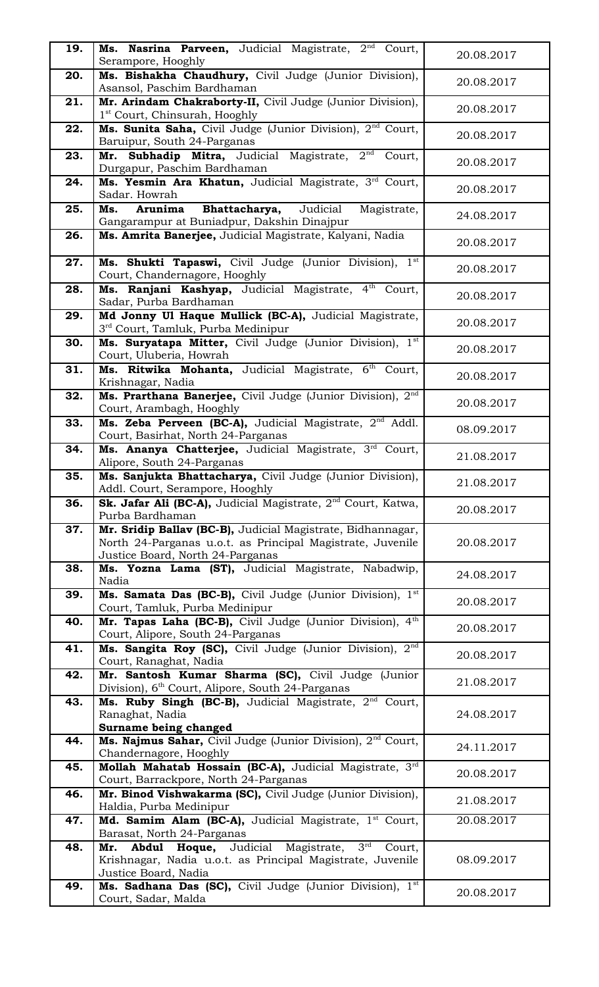| 19. | Ms. Nasrina Parveen, Judicial Magistrate, 2 <sup>nd</sup> Court,<br>Serampore, Hooghly                                                                        | 20.08.2017 |
|-----|---------------------------------------------------------------------------------------------------------------------------------------------------------------|------------|
| 20. | Ms. Bishakha Chaudhury, Civil Judge (Junior Division),<br>Asansol, Paschim Bardhaman                                                                          | 20.08.2017 |
| 21. | Mr. Arindam Chakraborty-II, Civil Judge (Junior Division),<br>1 <sup>st</sup> Court, Chinsurah, Hooghly                                                       | 20.08.2017 |
| 22. | Ms. Sunita Saha, Civil Judge (Junior Division), 2 <sup>nd</sup> Court,<br>Baruipur, South 24-Parganas                                                         | 20.08.2017 |
| 23. | Mr. Subhadip Mitra, Judicial Magistrate, 2 <sup>nd</sup><br>Court,<br>Durgapur, Paschim Bardhaman                                                             | 20.08.2017 |
| 24. | Ms. Yesmin Ara Khatun, Judicial Magistrate, 3rd Court,<br>Sadar. Howrah                                                                                       | 20.08.2017 |
| 25. | Arunima<br>Bhattacharya,<br>Judicial<br>Ms.<br>Magistrate,<br>Gangarampur at Buniadpur, Dakshin Dinajpur                                                      | 24.08.2017 |
| 26. | Ms. Amrita Banerjee, Judicial Magistrate, Kalyani, Nadia                                                                                                      | 20.08.2017 |
| 27. | Ms. Shukti Tapaswi, Civil Judge (Junior Division), 1st<br>Court, Chandernagore, Hooghly                                                                       | 20.08.2017 |
| 28. | Ms. Ranjani Kashyap, Judicial Magistrate, 4th<br>Court,<br>Sadar, Purba Bardhaman                                                                             | 20.08.2017 |
| 29. | Md Jonny Ul Haque Mullick (BC-A), Judicial Magistrate,<br>3rd Court, Tamluk, Purba Medinipur                                                                  | 20.08.2017 |
| 30. | Ms. Suryatapa Mitter, Civil Judge (Junior Division), 1st<br>Court, Uluberia, Howrah                                                                           | 20.08.2017 |
| 31. | Ms. Ritwika Mohanta, Judicial Magistrate, 6th<br>Court,<br>Krishnagar, Nadia                                                                                  | 20.08.2017 |
| 32. | Ms. Prarthana Banerjee, Civil Judge (Junior Division), 2 <sup>nd</sup><br>Court, Arambagh, Hooghly                                                            | 20.08.2017 |
| 33. | Ms. Zeba Perveen (BC-A), Judicial Magistrate, 2 <sup>nd</sup> Addl.<br>Court, Basirhat, North 24-Parganas                                                     | 08.09.2017 |
| 34. | Ms. Ananya Chatterjee, Judicial Magistrate, 3rd Court,<br>Alipore, South 24-Parganas                                                                          | 21.08.2017 |
| 35. | Ms. Sanjukta Bhattacharya, Civil Judge (Junior Division),<br>Addl. Court, Serampore, Hooghly                                                                  | 21.08.2017 |
| 36. | Sk. Jafar Ali (BC-A), Judicial Magistrate, 2 <sup>nd</sup> Court, Katwa,<br>Purba Bardhaman                                                                   | 20.08.2017 |
| 37. | Mr. Sridip Ballav (BC-B), Judicial Magistrate, Bidhannagar,<br>North 24-Parganas u.o.t. as Principal Magistrate, Juvenile<br>Justice Board, North 24-Parganas | 20.08.2017 |
| 38. | Ms. Yozna Lama (ST), Judicial Magistrate, Nabadwip,<br>Nadia                                                                                                  | 24.08.2017 |
| 39. | Ms. Samata Das (BC-B), Civil Judge (Junior Division), 1 <sup>st</sup><br>Court, Tamluk, Purba Medinipur                                                       | 20.08.2017 |
| 40. | Mr. Tapas Laha (BC-B), Civil Judge (Junior Division), 4th<br>Court, Alipore, South 24-Parganas                                                                | 20.08.2017 |
| 41. | Ms. Sangita Roy (SC), Civil Judge (Junior Division), 2 <sup>nd</sup><br>Court, Ranaghat, Nadia                                                                | 20.08.2017 |
| 42. | Mr. Santosh Kumar Sharma (SC), Civil Judge (Junior<br>Division), 6 <sup>th</sup> Court, Alipore, South 24-Parganas                                            | 21.08.2017 |
| 43. | Ms. Ruby Singh (BC-B), Judicial Magistrate, 2 <sup>nd</sup> Court,<br>Ranaghat, Nadia<br>Surname being changed                                                | 24.08.2017 |
| 44. | Ms. Najmus Sahar, Civil Judge (Junior Division), 2 <sup>nd</sup> Court,<br>Chandernagore, Hooghly                                                             | 24.11.2017 |
| 45. | Mollah Mahatab Hossain (BC-A), Judicial Magistrate, 3rd<br>Court, Barrackpore, North 24-Parganas                                                              | 20.08.2017 |
| 46. | Mr. Binod Vishwakarma (SC), Civil Judge (Junior Division),<br>Haldia, Purba Medinipur                                                                         | 21.08.2017 |
| 47. | Md. Samim Alam (BC-A), Judicial Magistrate, 1st Court,<br>Barasat, North 24-Parganas                                                                          | 20.08.2017 |
| 48. | Abdul Hoque, Judicial Magistrate, 3rd<br>Mr.<br>Court,<br>Krishnagar, Nadia u.o.t. as Principal Magistrate, Juvenile<br>Justice Board, Nadia                  | 08.09.2017 |
| 49. | Ms. Sadhana Das (SC), Civil Judge (Junior Division), 1st<br>Court, Sadar, Malda                                                                               | 20.08.2017 |